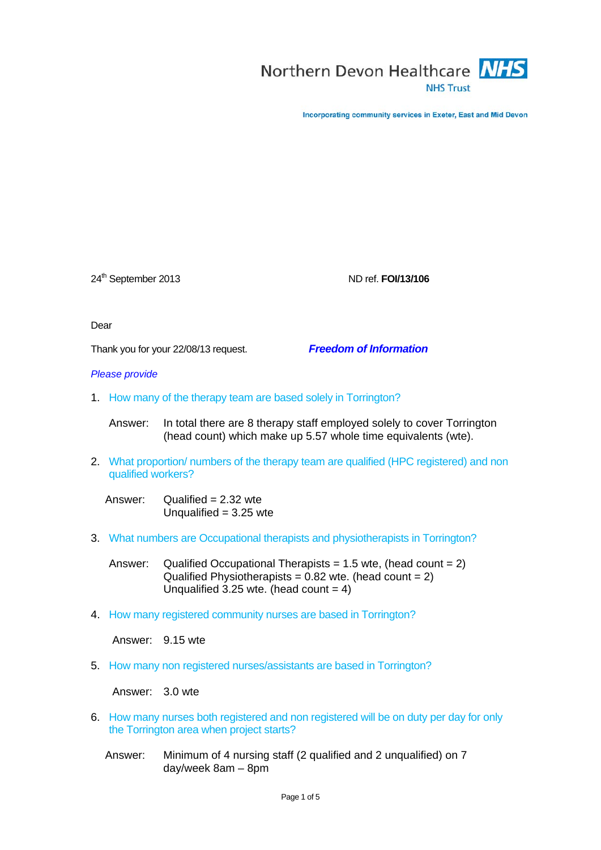

Incorporating community services in Exeter, East and Mid Devon

24th September 2013 ND ref. **FOI/13/106**

Dear

Thank you for your 22/08/13 request. *Freedom of Information*

*Please provide* 

1. How many of the therapy team are based solely in Torrington?

Answer: In total there are 8 therapy staff employed solely to cover Torrington (head count) which make up 5.57 whole time equivalents (wte).

2. What proportion/ numbers of the therapy team are qualified (HPC registered) and non qualified workers?

Answer: Qualified =  $2.32$  wte Unqualified  $= 3.25$  wte

3. What numbers are Occupational therapists and physiotherapists in Torrington?

Answer: Qualified Occupational Therapists = 1.5 wte, (head count =  $2$ ) Qualified Physiotherapists =  $0.82$  wte. (head count =  $2$ ) Unqualified 3.25 wte. (head count  $= 4$ )

4. How many registered community nurses are based in Torrington?

Answer: 9.15 wte

5. How many non registered nurses/assistants are based in Torrington?

Answer: 3.0 wte

- 6. How many nurses both registered and non registered will be on duty per day for only the Torrington area when project starts?
	- Answer: Minimum of 4 nursing staff (2 qualified and 2 unqualified) on 7 day/week 8am – 8pm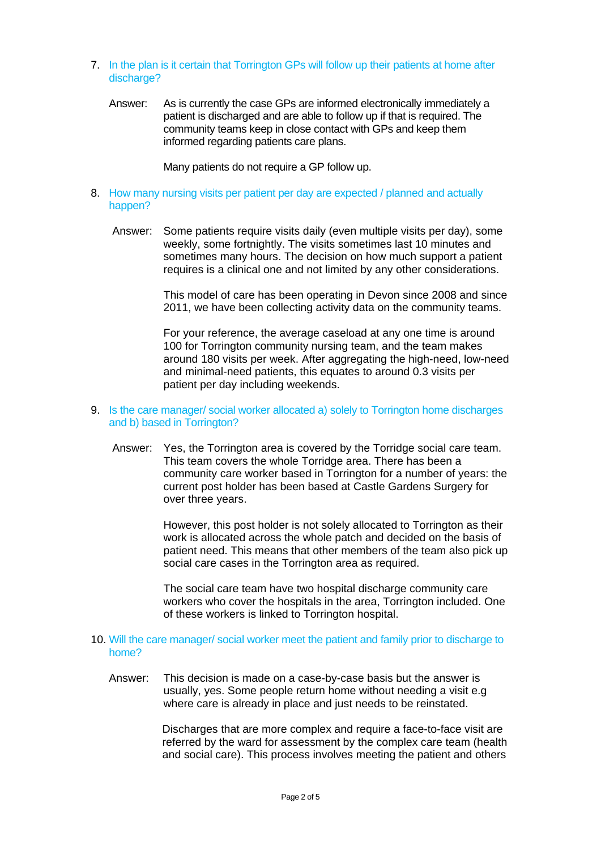- 7. In the plan is it certain that Torrington GPs will follow up their patients at home after discharge?
	- Answer: As is currently the case GPs are informed electronically immediately a patient is discharged and are able to follow up if that is required. The community teams keep in close contact with GPs and keep them informed regarding patients care plans.

Many patients do not require a GP follow up.

- 8. How many nursing visits per patient per day are expected / planned and actually happen?
	- Answer: Some patients require visits daily (even multiple visits per day), some weekly, some fortnightly. The visits sometimes last 10 minutes and sometimes many hours. The decision on how much support a patient requires is a clinical one and not limited by any other considerations.

This model of care has been operating in Devon since 2008 and since 2011, we have been collecting activity data on the community teams.

For your reference, the average caseload at any one time is around 100 for Torrington community nursing team, and the team makes around 180 visits per week. After aggregating the high-need, low-need and minimal-need patients, this equates to around 0.3 visits per patient per day including weekends.

- 9. Is the care manager/ social worker allocated a) solely to Torrington home discharges and b) based in Torrington?
	- Answer: Yes, the Torrington area is covered by the Torridge social care team. This team covers the whole Torridge area. There has been a community care worker based in Torrington for a number of years: the current post holder has been based at Castle Gardens Surgery for over three years.

However, this post holder is not solely allocated to Torrington as their work is allocated across the whole patch and decided on the basis of patient need. This means that other members of the team also pick up social care cases in the Torrington area as required.

The social care team have two hospital discharge community care workers who cover the hospitals in the area, Torrington included. One of these workers is linked to Torrington hospital.

- 10. Will the care manager/ social worker meet the patient and family prior to discharge to home?
	- Answer: This decision is made on a case-by-case basis but the answer is usually, yes. Some people return home without needing a visit e.g where care is already in place and just needs to be reinstated.

Discharges that are more complex and require a face-to-face visit are referred by the ward for assessment by the complex care team (health and social care). This process involves meeting the patient and others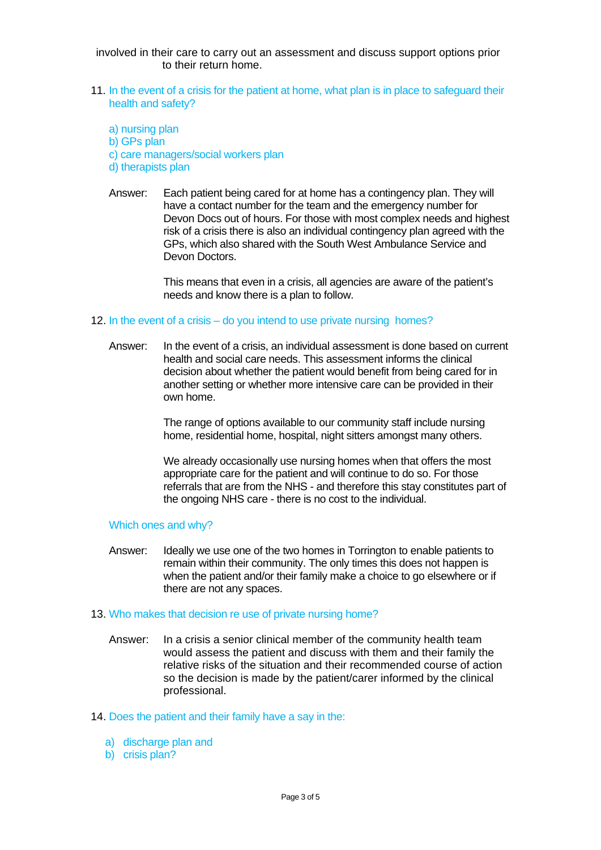involved in their care to carry out an assessment and discuss support options prior to their return home.

- 11. In the event of a crisis for the patient at home, what plan is in place to safeguard their health and safety?
	- a) nursing plan b) GPs plan
	- c) care managers/social workers plan
	- d) therapists plan
	- Answer: Each patient being cared for at home has a contingency plan. They will have a contact number for the team and the emergency number for Devon Docs out of hours. For those with most complex needs and highest risk of a crisis there is also an individual contingency plan agreed with the GPs, which also shared with the South West Ambulance Service and Devon Doctors.

This means that even in a crisis, all agencies are aware of the patient's needs and know there is a plan to follow.

## 12. In the event of a crisis – do you intend to use private nursing homes?

Answer: In the event of a crisis, an individual assessment is done based on current health and social care needs. This assessment informs the clinical decision about whether the patient would benefit from being cared for in another setting or whether more intensive care can be provided in their own home.

> The range of options available to our community staff include nursing home, residential home, hospital, night sitters amongst many others.

We already occasionally use nursing homes when that offers the most appropriate care for the patient and will continue to do so. For those referrals that are from the NHS - and therefore this stay constitutes part of the ongoing NHS care - there is no cost to the individual.

## Which ones and why?

Answer: Ideally we use one of the two homes in Torrington to enable patients to remain within their community. The only times this does not happen is when the patient and/or their family make a choice to go elsewhere or if there are not any spaces.

## 13. Who makes that decision re use of private nursing home?

Answer: In a crisis a senior clinical member of the community health team would assess the patient and discuss with them and their family the relative risks of the situation and their recommended course of action so the decision is made by the patient/carer informed by the clinical professional.

## 14. Does the patient and their family have a say in the:

- a) discharge plan and
- b) crisis plan?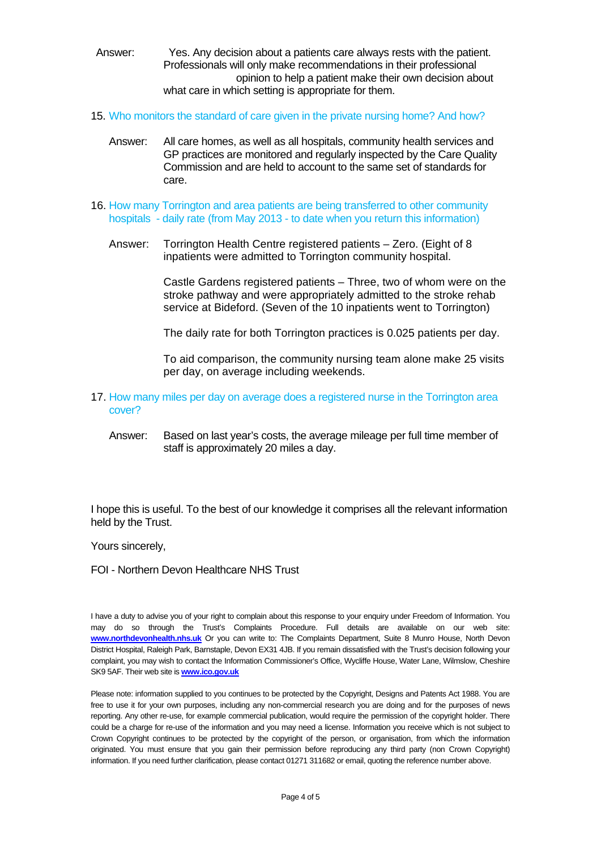- Answer: Yes. Any decision about a patients care always rests with the patient. Professionals will only make recommendations in their professional opinion to help a patient make their own decision about what care in which setting is appropriate for them.
- 15. Who monitors the standard of care given in the private nursing home? And how?
	- Answer: All care homes, as well as all hospitals, community health services and GP practices are monitored and regularly inspected by the Care Quality Commission and are held to account to the same set of standards for care.
- 16. How many Torrington and area patients are being transferred to other community hospitals - daily rate (from May 2013 - to date when you return this information)
	- Answer: Torrington Health Centre registered patients Zero. (Eight of 8 inpatients were admitted to Torrington community hospital.

Castle Gardens registered patients – Three, two of whom were on the stroke pathway and were appropriately admitted to the stroke rehab service at Bideford. (Seven of the 10 inpatients went to Torrington)

The daily rate for both Torrington practices is 0.025 patients per day.

To aid comparison, the community nursing team alone make 25 visits per day, on average including weekends.

- 17. How many miles per day on average does a registered nurse in the Torrington area cover?
	- Answer: Based on last year's costs, the average mileage per full time member of staff is approximately 20 miles a day.

I hope this is useful. To the best of our knowledge it comprises all the relevant information held by the Trust.

Yours sincerely,

FOI - Northern Devon Healthcare NHS Trust

I have a duty to advise you of your right to complain about this response to your enquiry under Freedom of Information. You may do so through the Trust's Complaints Procedure. Full details are available on our web site: **[www.northdevonhealth.nhs.uk](http://www.northdevonhealth.nhs.uk/)** Or you can write to: The Complaints Department, Suite 8 Munro House, North Devon District Hospital, Raleigh Park, Barnstaple, Devon EX31 4JB. If you remain dissatisfied with the Trust's decision following your complaint, you may wish to contact the Information Commissioner's Office, Wycliffe House, Water Lane, Wilmslow, Cheshire SK9 5AF. Their web site is **[www.ico.gov.uk](http://www.ico.gov.uk/)**

Please note: information supplied to you continues to be protected by the Copyright, Designs and Patents Act 1988. You are free to use it for your own purposes, including any non-commercial research you are doing and for the purposes of news reporting. Any other re-use, for example commercial publication, would require the permission of the copyright holder. There could be a charge for re-use of the information and you may need a license. Information you receive which is not subject to Crown Copyright continues to be protected by the copyright of the person, or organisation, from which the information originated. You must ensure that you gain their permission before reproducing any third party (non Crown Copyright) information. If you need further clarification, please contact 01271 311682 or email, quoting the reference number above.